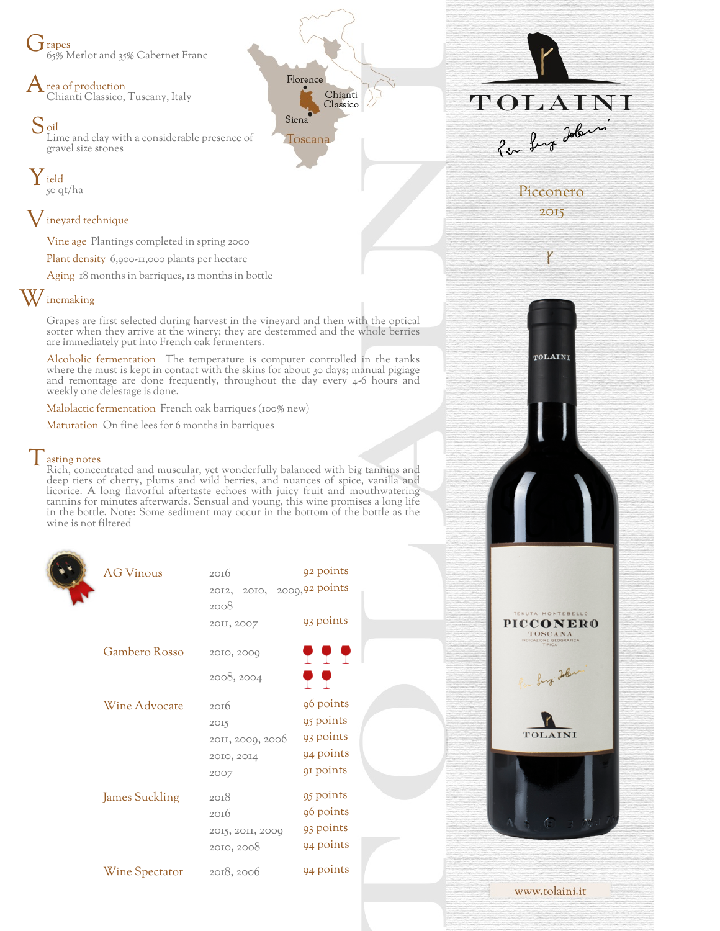$\dot{J}$  rapes 65% Merlot and 35% Cabernet Franc

rea of production Chianti Classico, Tuscany, Italy

S<sub>oil</sub> Lime and clay with a considerable presence of gravel size stones

Y ield 50 qt/ha

## ${\mathsf V}$  ineyard technique

Vine age Plantings completed in spring 2000

Plant density 6,900-11,000 plants per hectare

Aging 18 months in barriques, 12 months in bottle

## W inemaking

Grapes are first selected during harvest in the vineyard and then with the optical sorter when they arrive at the winery; they are destemmed and the whole berries are immediately put into French oak fermenters.

Florence

Toscana

Siena

Chianti

Classico

Alcoholic fermentation The temperature is computer controlled in the tanks where the must is kept in contact with the skins for about 30 days; manual pigiage and remontage are done frequently, throughout the day every 4-6 hours and weekly one delestage is done.

Malolactic fermentation French oak barriques (100% new)

Maturation On fine lees for 6 months in barriques

## $\vert$  asting notes

Rich, concentrated and muscular, yet wonderfully balanced with big tannins and deep tiers of cherry, plums and wild berries, and nuances of spice, vanilla and licorice. A long flavorful aftertaste echoes with juicy fruit and mouthwatering tannins for minutes afterwards. Sensual and young, this wine promises a long life in the bottle. Note: Some sediment may occur in the bottom of the bottle as the wine is not filtered

| <b>AG Vinous</b>      | 2016                       | 92 points |
|-----------------------|----------------------------|-----------|
|                       | 2012, 2010, 2009,92 points |           |
|                       | 2008                       |           |
|                       | 20II, 2007                 | 93 points |
| Gambero Rosso         | 2010, 2000                 | <u>.</u>  |
|                       | 2008, 2004                 | o o       |
| Wine Advocate         | 20I6                       | 96 points |
|                       | 2015                       | 95 points |
|                       | 2011, 2009, 2006           | 93 points |
|                       | 2010, 2014                 | 94 points |
|                       | 2007                       | 91 points |
|                       |                            |           |
| <b>James Suckling</b> | 2018                       | 95 points |
|                       | 2016                       | 96 points |
|                       | 2015, 2011, 2009           | 93 points |
|                       | 2010, 2008                 | 94 points |
| <b>Wine Spectator</b> | 2018, 2006                 | 94 points |
|                       |                            |           |

TOLAINI Per Lugi Jobin Picconero 2015

TOLAINI

**PICCONERO** TOSCANA

TOLAINI